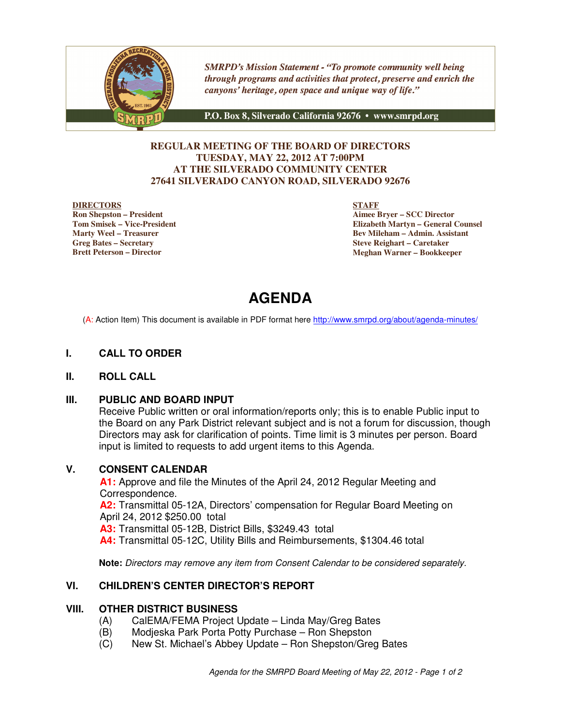

**SMRPD's Mission Statement - "To promote community well being** through programs and activities that protect, preserve and enrich the canyons' heritage, open space and unique way of life."

P.O. Box 8, Silverado California 92676 · www.smrpd.org

### **REGULAR MEETING OF THE BOARD OF DIRECTORS TUESDAY, MAY 22, 2012 AT 7:00PM AT THE SILVERADO COMMUNITY CENTER 27641 SILVERADO CANYON ROAD, SILVERADO 92676**

#### **DIRECTORS**

**Ron Shepston – President Tom Smisek – Vice-President Marty Weel – Treasurer Greg Bates – Secretary Brett Peterson – Director**

**STAFF**

**Aimee Bryer – SCC Director Elizabeth Martyn – General Counsel Bev Mileham – Admin. Assistant Steve Reighart – Caretaker Meghan Warner – Bookkeeper**

# **AGENDA**

(A: Action Item) This document is available in PDF format here http://www.smrpd.org/about/agenda-minutes/

# **I. CALL TO ORDER**

### **II. ROLL CALL**

### **III. PUBLIC AND BOARD INPUT**

Receive Public written or oral information/reports only; this is to enable Public input to the Board on any Park District relevant subject and is not a forum for discussion, though Directors may ask for clarification of points. Time limit is 3 minutes per person. Board input is limited to requests to add urgent items to this Agenda.

### **V. CONSENT CALENDAR**

**A1:** Approve and file the Minutes of the April 24, 2012 Regular Meeting and Correspondence. **A2:** Transmittal 05-12A, Directors' compensation for Regular Board Meeting on April 24, 2012 \$250.00 total **A3:** Transmittal 05-12B, District Bills, \$3249.43 total **A4:** Transmittal 05-12C, Utility Bills and Reimbursements, \$1304.46 total

**Note:** Directors may remove any item from Consent Calendar to be considered separately.

# **VI. CHILDREN'S CENTER DIRECTOR'S REPORT**

### **VIII. OTHER DISTRICT BUSINESS**

- (A) CalEMA/FEMA Project Update Linda May/Greg Bates
- (B) Modjeska Park Porta Potty Purchase Ron Shepston
- (C) New St. Michael's Abbey Update Ron Shepston/Greg Bates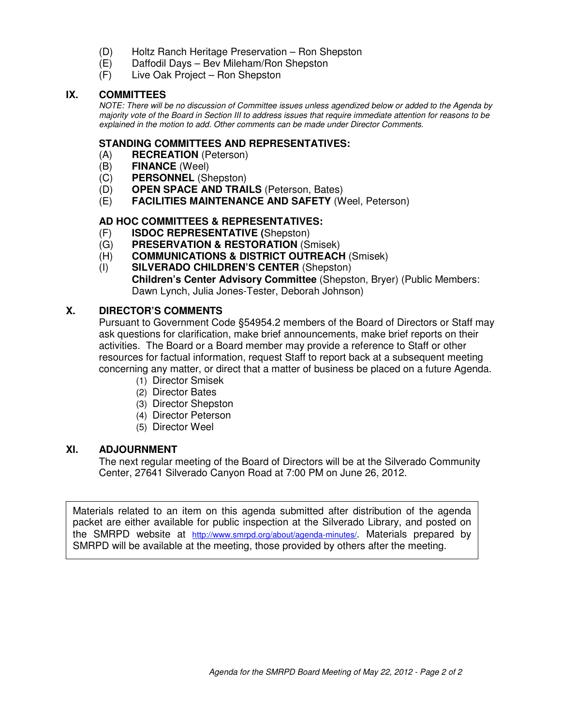- (D) Holtz Ranch Heritage Preservation Ron Shepston
- (E) Daffodil Days Bev Mileham/Ron Shepston
- (F) Live Oak Project Ron Shepston

### **IX. COMMITTEES**

NOTE: There will be no discussion of Committee issues unless agendized below or added to the Agenda by majority vote of the Board in Section III to address issues that require immediate attention for reasons to be explained in the motion to add. Other comments can be made under Director Comments.

### **STANDING COMMITTEES AND REPRESENTATIVES:**

- (A) **RECREATION** (Peterson)
- (B) **FINANCE** (Weel)
- (C) **PERSONNEL** (Shepston)
- (D) **OPEN SPACE AND TRAILS** (Peterson, Bates)
- (E) **FACILITIES MAINTENANCE AND SAFETY** (Weel, Peterson)

# **AD HOC COMMITTEES & REPRESENTATIVES:**

- (F) **ISDOC REPRESENTATIVE (**Shepston)
- (G) **PRESERVATION & RESTORATION** (Smisek)
- (H) **COMMUNICATIONS & DISTRICT OUTREACH** (Smisek)
- (I) **SILVERADO CHILDREN'S CENTER** (Shepston) **Children's Center Advisory Committee** (Shepston, Bryer) (Public Members: Dawn Lynch, Julia Jones-Tester, Deborah Johnson)

# **X. DIRECTOR'S COMMENTS**

Pursuant to Government Code §54954.2 members of the Board of Directors or Staff may ask questions for clarification, make brief announcements, make brief reports on their activities. The Board or a Board member may provide a reference to Staff or other resources for factual information, request Staff to report back at a subsequent meeting concerning any matter, or direct that a matter of business be placed on a future Agenda.

- (1) Director Smisek
- (2) Director Bates
- (3) Director Shepston
- (4) Director Peterson
- (5) Director Weel

### **XI. ADJOURNMENT**

The next regular meeting of the Board of Directors will be at the Silverado Community Center, 27641 Silverado Canyon Road at 7:00 PM on June 26, 2012.

Materials related to an item on this agenda submitted after distribution of the agenda packet are either available for public inspection at the Silverado Library, and posted on the SMRPD website at http://www.smrpd.org/about/agenda-minutes/. Materials prepared by SMRPD will be available at the meeting, those provided by others after the meeting.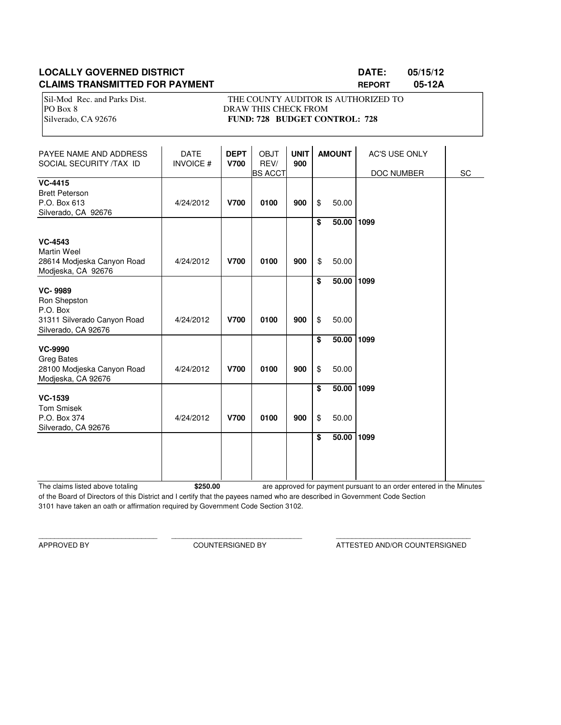# **LOCALLY GOVERNED DISTRICT DATE: 05/15/12 CLAIMS TRANSMITTED FOR PAYMENT REPORT 05-12A**

Sil-Mod Rec. and Parks Dist. THE COUNTY AUDITOR IS AUTHORIZED TO PO Box 8 DRAW THIS CHECK FROM Silverado, CA 92676 **FUND: 728 BUDGET CONTROL: 728** 

| PAYEE NAME AND ADDRESS<br>SOCIAL SECURITY /TAX ID                              | <b>DATE</b><br><b>INVOICE#</b> | <b>DEPT</b><br><b>V700</b> | <b>OBJT</b><br>REV/<br><b>BS ACCT</b> | <b>UNIT</b><br>900 | <b>AMOUNT</b> |                | <b>AC'S USE ONLY</b><br>DOC NUMBER | SC |
|--------------------------------------------------------------------------------|--------------------------------|----------------------------|---------------------------------------|--------------------|---------------|----------------|------------------------------------|----|
| <b>VC-4415</b><br><b>Brett Peterson</b><br>P.O. Box 613<br>Silverado, CA 92676 | 4/24/2012                      | <b>V700</b>                | 0100                                  | 900                | \$            | 50.00          |                                    |    |
| <b>VC-4543</b><br><b>Martin Weel</b><br>28614 Modjeska Canyon Road             | 4/24/2012                      | <b>V700</b>                | 0100                                  | 900                | \$<br>\$      | 50.00<br>50.00 | 1099                               |    |
| Modjeska, CA 92676<br><b>VC-9989</b><br>Ron Shepston<br>P.O. Box               |                                |                            |                                       |                    | \$            | 50.00          | 1099                               |    |
| 31311 Silverado Canyon Road<br>Silverado, CA 92676<br><b>VC-9990</b>           | 4/24/2012                      | <b>V700</b>                | 0100                                  | 900                | \$<br>\$      | 50.00<br>50.00 | 1099                               |    |
| <b>Greg Bates</b><br>28100 Modjeska Canyon Road<br>Modjeska, CA 92676          | 4/24/2012                      | <b>V700</b>                | 0100                                  | 900                | \$            | 50.00          |                                    |    |
| <b>VC-1539</b><br><b>Tom Smisek</b><br>P.O. Box 374<br>Silverado, CA 92676     | 4/24/2012                      | <b>V700</b>                | 0100                                  | 900                | \$<br>\$      | 50.00<br>50.00 | 1099                               |    |
|                                                                                |                                |                            |                                       |                    | \$            | 50.00          | 1099                               |    |

The claims listed above totaling **\$250.00** of the Board of Directors of this District and I certify that the payees named who are described in Government Code Section 3101 have taken an oath or affirmation required by Government Code Section 3102. are approved for payment pursuant to an order entered in the Minutes

\_\_\_\_\_\_\_\_\_\_\_\_\_\_\_\_\_\_\_\_\_\_\_\_\_\_\_\_\_\_ \_\_\_\_\_\_\_\_\_\_\_\_\_\_\_\_\_\_\_\_\_\_\_\_\_\_\_\_\_\_\_\_\_ \_\_\_\_\_\_\_\_\_\_\_\_\_\_\_\_\_\_\_\_\_\_\_\_\_\_\_\_\_\_\_\_\_\_

APPROVED BY COUNTERSIGNED BY ATTESTED AND/OR COUNTERSIGNED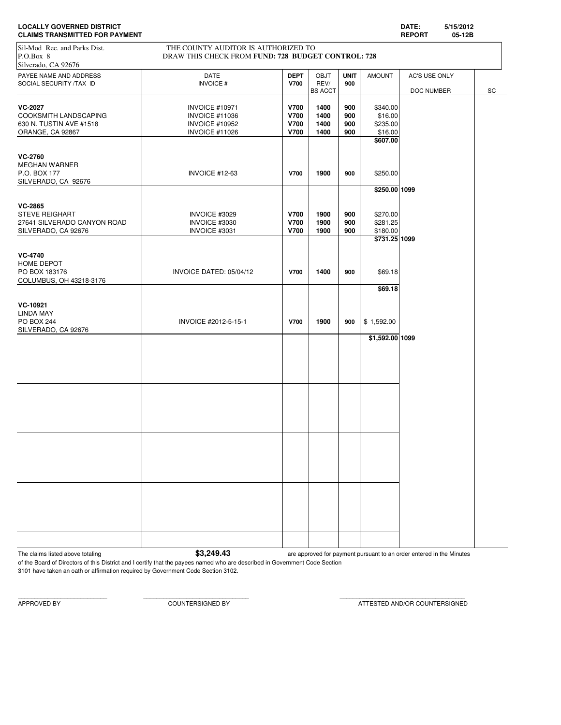| <b>LOCALLY GOVERNED DISTRICT</b>      | <b>DATE</b>   | 5/15/2012 |
|---------------------------------------|---------------|-----------|
| <b>CLAIMS TRANSMITTED FOR PAYMENT</b> | <b>REPORT</b> | 05-12B    |

# Sil-Mod Rec. and Parks Dist. THE COUNTY AUDITOR IS AUTHORIZED TO

| $P.O.Box$ 8<br>Silverado, CA 92676                | DRAW THIS CHECK FROM FUND: 728 BUDGET CONTROL: 728 |                            |              |                    |                 |               |    |
|---------------------------------------------------|----------------------------------------------------|----------------------------|--------------|--------------------|-----------------|---------------|----|
|                                                   |                                                    |                            |              |                    |                 |               |    |
| PAYEE NAME AND ADDRESS<br>SOCIAL SECURITY /TAX ID | DATE<br><b>INVOICE#</b>                            | <b>DEPT</b><br><b>V700</b> | OBJT<br>REV/ | <b>UNIT</b><br>900 | <b>AMOUNT</b>   | AC'S USE ONLY |    |
|                                                   |                                                    |                            | BS ACCT      |                    |                 | DOC NUMBER    | SC |
|                                                   |                                                    |                            |              |                    |                 |               |    |
| <b>VC-2027</b>                                    | <b>INVOICE #10971</b>                              | <b>V700</b>                | 1400         | 900                | \$340.00        |               |    |
| COOKSMITH LANDSCAPING                             | <b>INVOICE #11036</b>                              | <b>V700</b>                | 1400         | 900                | \$16.00         |               |    |
| 630 N. TUSTIN AVE #1518                           | <b>INVOICE #10952</b>                              | <b>V700</b>                | 1400         | 900                | \$235.00        |               |    |
| ORANGE, CA 92867                                  | <b>INVOICE #11026</b>                              | <b>V700</b>                | 1400         | 900                | \$16.00         |               |    |
|                                                   |                                                    |                            |              |                    | \$607.00        |               |    |
|                                                   |                                                    |                            |              |                    |                 |               |    |
| <b>VC-2760</b>                                    |                                                    |                            |              |                    |                 |               |    |
| <b>MEGHAN WARNER</b>                              |                                                    |                            |              |                    |                 |               |    |
| P.O. BOX 177                                      | <b>INVOICE #12-63</b>                              | <b>V700</b>                | 1900         | 900                | \$250.00        |               |    |
| SILVERADO, CA 92676                               |                                                    |                            |              |                    |                 |               |    |
|                                                   |                                                    |                            |              |                    | \$250.00 1099   |               |    |
| <b>VC-2865</b>                                    |                                                    |                            |              |                    |                 |               |    |
| <b>STEVE REIGHART</b>                             | INVOICE #3029                                      | <b>V700</b>                | 1900         | 900                | \$270.00        |               |    |
| 27641 SILVERADO CANYON ROAD                       | INVOICE #3030                                      | <b>V700</b>                | 1900         | 900                | \$281.25        |               |    |
| SILVERADO, CA 92676                               | INVOICE #3031                                      | <b>V700</b>                | 1900         | 900                | \$180.00        |               |    |
|                                                   |                                                    |                            |              |                    | \$731.25 1099   |               |    |
|                                                   |                                                    |                            |              |                    |                 |               |    |
| <b>VC-4740</b>                                    |                                                    |                            |              |                    |                 |               |    |
| HOME DEPOT                                        |                                                    |                            |              |                    |                 |               |    |
| PO BOX 183176                                     | INVOICE DATED: 05/04/12                            | <b>V700</b>                | 1400         | 900                | \$69.18         |               |    |
|                                                   |                                                    |                            |              |                    |                 |               |    |
| COLUMBUS, OH 43218-3176                           |                                                    |                            |              |                    | \$69.18         |               |    |
|                                                   |                                                    |                            |              |                    |                 |               |    |
| VC-10921                                          |                                                    |                            |              |                    |                 |               |    |
| LINDA MAY                                         |                                                    |                            |              |                    |                 |               |    |
|                                                   |                                                    |                            |              |                    |                 |               |    |
| <b>PO BOX 244</b><br>SILVERADO, CA 92676          | INVOICE #2012-5-15-1                               | <b>V700</b>                | 1900         | 900                | \$1,592.00      |               |    |
|                                                   |                                                    |                            |              |                    | \$1,592.00 1099 |               |    |
|                                                   |                                                    |                            |              |                    |                 |               |    |
|                                                   |                                                    |                            |              |                    |                 |               |    |
|                                                   |                                                    |                            |              |                    |                 |               |    |
|                                                   |                                                    |                            |              |                    |                 |               |    |
|                                                   |                                                    |                            |              |                    |                 |               |    |
|                                                   |                                                    |                            |              |                    |                 |               |    |
|                                                   |                                                    |                            |              |                    |                 |               |    |
|                                                   |                                                    |                            |              |                    |                 |               |    |
|                                                   |                                                    |                            |              |                    |                 |               |    |
|                                                   |                                                    |                            |              |                    |                 |               |    |
|                                                   |                                                    |                            |              |                    |                 |               |    |
|                                                   |                                                    |                            |              |                    |                 |               |    |
|                                                   |                                                    |                            |              |                    |                 |               |    |
|                                                   |                                                    |                            |              |                    |                 |               |    |
|                                                   |                                                    |                            |              |                    |                 |               |    |
|                                                   |                                                    |                            |              |                    |                 |               |    |
|                                                   |                                                    |                            |              |                    |                 |               |    |
|                                                   |                                                    |                            |              |                    |                 |               |    |
|                                                   |                                                    |                            |              |                    |                 |               |    |
|                                                   |                                                    |                            |              |                    |                 |               |    |
|                                                   |                                                    |                            |              |                    |                 |               |    |

The claims listed above totaling **\$3,249.43** are approved for payment pursuant to an order entered in the Minutes

of the Board of Directors of this District and I certify that the payees named who are described in Government Code Section 3101 have taken an oath or affirmation required by Government Code Section 3102.

APPROVED BY COUNTERSIGNED BY ATTESTED AND/OR COUNTERSIGNED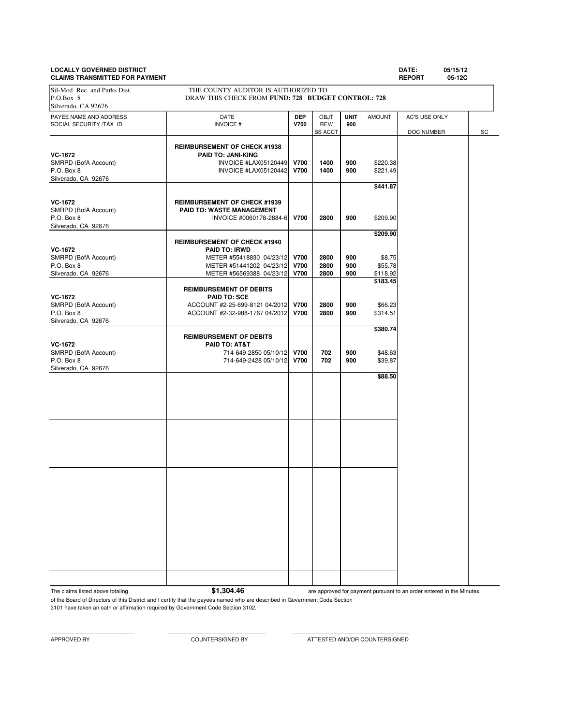# **LOCALLY GOVERNED DISTRICT DATE: 05/15/12**

| DATE: | 05/15 |
|-------|-------|
|       |       |

**CLAIMS TRANSMITTED FOR PAYMENT REPORT 05-12C** PAYEE NAME AND ADDRESS **DATE DEP** OBJT **UNIT** AMOUNT AC'S USE ONLY SOCIAL SECURITY /TAX ID **INVOICE # V700** REV/ **900 REV/ 900 BS** ACCT DOC NUMBER SC **REIMBURSEMENT OF CHECK #1938 VC-1672**<br> **PAID TO: JANI-KING**<br>
INVOICE #LAX05120449 SMRPD (BofA Account) **INVOICE #LAX05120449 V700** 1400 900 \$220.38<br>P.O. Box 8 **INVOICE #LAX05120442 V700** 1400 900 \$221.49 P.O. Box 8 **INVOICE #LAX05120442 V700** 1400 900 Silverado, CA 92676 **\$441.87 VC-1672 REIMBURSEMENT OF CHECK #1939**<br> **RAID TO: WASTE MANAGEMENT** SMRPD (BofA Account) **PAID TO: WASTE MANAGEMENT**<br>P.O. Box 8 **PAID TO: WASTE MANAGEMENT**<br>INVOICE #0060178-288 P.O. Box 8 INVOICE #0060178-2884-6 **V700 2800 900** \$209.90 Silverado, CA 92676 **\$209.90 REIMBURSEMENT OF CHECK #1940 VC-1672 PAID TO: IRWD** SMRPD (BofA Account) **METER #55418830 04/23/12 V700 2800 900** \$8.75<br>P.O. Box 8 **METER #51441202 04/23/12 V700 2800 900** \$55.78 P.O. Box 8 **METER #51441202 04/23/12 V700 2800 900** \$55.78<br>Silverado, CA 92676 **METER #56569388 04/23/12 V700 2800 900** \$118.92 METER #56569388 04/23/12 **\$183.45 REIMBURSEMENT OF DEBITS VC-1672 PAID TO: SCE** SMRPD (BofA Account)  $ACCOUNT #2-25-699-8121 04/2012 V700 2800 900 $66.23$ <br>P.O. Box 8 900 \$314.51 P.O. Box 8 ACCOUNT #2-32-988-1767 04/2012 **V700 2800 900** \$314.51 Silverado, CA 92676 **\$380.74 REIMBURSEMENT OF DEBITS VC-1672 PAID TO: AT&T** SMRPD (BofA Account) 2000 114-649-2850 05/10/12 **700 702 900** \$48.63<br>P.O. Box 8 702 900 \$39.87 P.O. Box 8 714-649-2428 05/10/12 **V700 702 900** \$39.87 Silverado, CA 92676 **\$88.50** Sil-Mod Rec. and Parks Dist. THE COUNTY AUDITOR IS AUTHORIZED TO P.O.Box 8 DRAW THIS CHECK FROM **FUND: 728 BUDGET CONTROL: 728** Silverado, CA 92676

The claims listed above totaling **\$1,304.46** 

are approved for payment pursuant to an order entered in the Minutes

of the Board of Directors of this District and I certify that the payees named who are described in Government Code Section 3101 have taken an oath or affirmation required by Government Code Section 3102.

APPROVED BY COUNTERSIGNED BY ATTESTED AND/OR COUNTERSIGNED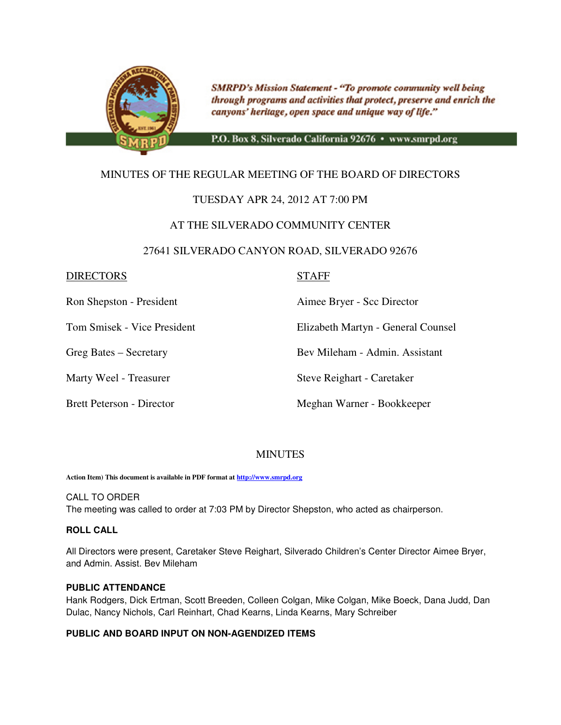

**SMRPD's Mission Statement - "To promote community well being** through programs and activities that protect, preserve and enrich the canyons' heritage, open space and unique way of life."

P.O. Box 8, Silverado California 92676 · www.smrpd.org

# MINUTES OF THE REGULAR MEETING OF THE BOARD OF DIRECTORS

# TUESDAY APR 24, 2012 AT 7:00 PM

# AT THE SILVERADO COMMUNITY CENTER

### 27641 SILVERADO CANYON ROAD, SILVERADO 92676

### DIRECTORS STAFF

Ron Shepston - President Aimee Bryer - Scc Director

Tom Smisek - Vice President Elizabeth Martyn - General Counsel

Greg Bates – Secretary Bev Mileham - Admin. Assistant

Marty Weel - Treasurer Steve Reighart - Caretaker

Brett Peterson - Director Meghan Warner - Bookkeeper

# **MINUTES**

**Action Item) This document is available in PDF format at http://www.smrpd.org**

CALL TO ORDER The meeting was called to order at 7:03 PM by Director Shepston, who acted as chairperson.

### **ROLL CALL**

All Directors were present, Caretaker Steve Reighart, Silverado Children's Center Director Aimee Bryer, and Admin. Assist. Bev Mileham

### **PUBLIC ATTENDANCE**

Hank Rodgers, Dick Ertman, Scott Breeden, Colleen Colgan, Mike Colgan, Mike Boeck, Dana Judd, Dan Dulac, Nancy Nichols, Carl Reinhart, Chad Kearns, Linda Kearns, Mary Schreiber

### **PUBLIC AND BOARD INPUT ON NON-AGENDIZED ITEMS**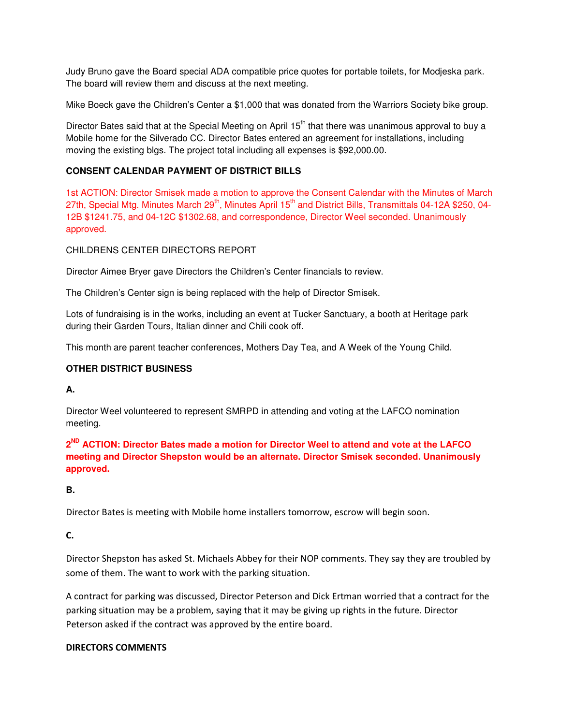Judy Bruno gave the Board special ADA compatible price quotes for portable toilets, for Modjeska park. The board will review them and discuss at the next meeting.

Mike Boeck gave the Children's Center a \$1,000 that was donated from the Warriors Society bike group.

Director Bates said that at the Special Meeting on April 15<sup>th</sup> that there was unanimous approval to buy a Mobile home for the Silverado CC. Director Bates entered an agreement for installations, including moving the existing blgs. The project total including all expenses is \$92,000.00.

# **CONSENT CALENDAR PAYMENT OF DISTRICT BILLS**

1st ACTION: Director Smisek made a motion to approve the Consent Calendar with the Minutes of March 27th, Special Mtg. Minutes March  $29<sup>th</sup>$ , Minutes April  $15<sup>th</sup>$  and District Bills, Transmittals 04-12A \$250, 04-12B \$1241.75, and 04-12C \$1302.68, and correspondence, Director Weel seconded. Unanimously approved.

CHILDRENS CENTER DIRECTORS REPORT

Director Aimee Bryer gave Directors the Children's Center financials to review.

The Children's Center sign is being replaced with the help of Director Smisek.

Lots of fundraising is in the works, including an event at Tucker Sanctuary, a booth at Heritage park during their Garden Tours, Italian dinner and Chili cook off.

This month are parent teacher conferences, Mothers Day Tea, and A Week of the Young Child.

# **OTHER DISTRICT BUSINESS**

**A.** 

Director Weel volunteered to represent SMRPD in attending and voting at the LAFCO nomination meeting.

**2 ND ACTION: Director Bates made a motion for Director Weel to attend and vote at the LAFCO meeting and Director Shepston would be an alternate. Director Smisek seconded. Unanimously approved.** 

**B.** 

Director Bates is meeting with Mobile home installers tomorrow, escrow will begin soon.

C.

Director Shepston has asked St. Michaels Abbey for their NOP comments. They say they are troubled by some of them. The want to work with the parking situation.

A contract for parking was discussed, Director Peterson and Dick Ertman worried that a contract for the parking situation may be a problem, saying that it may be giving up rights in the future. Director Peterson asked if the contract was approved by the entire board.

### DIRECTORS COMMENTS